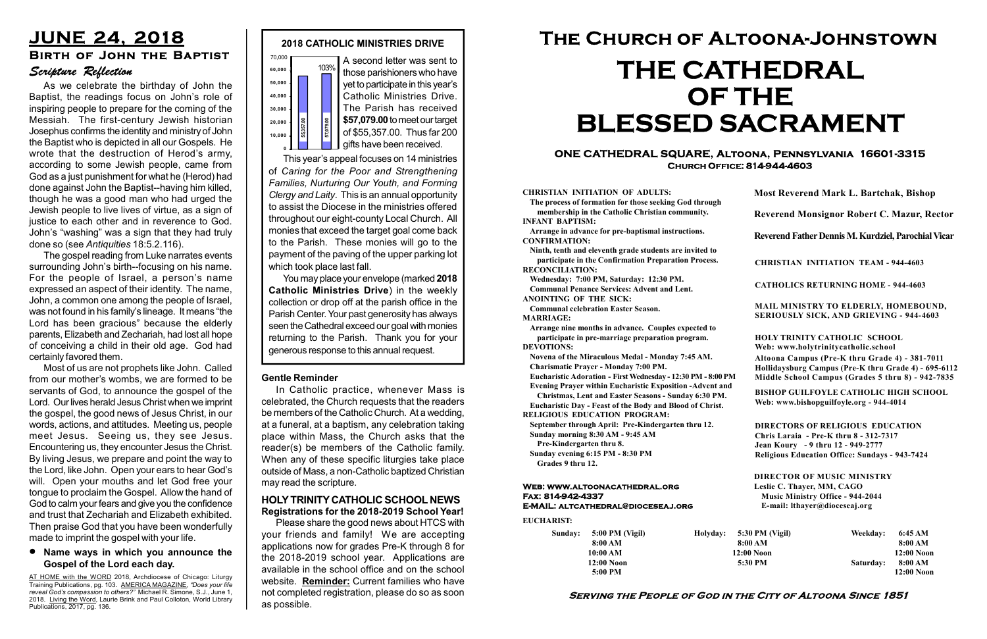#### Serving the People of God in the City of Altoona Since 1851

Sunday: 5:00 PM (Vigil) 8:00 AM 10:00 AM 12:00 Noon 5:00 PM

Holyday:

#### Web: www.altoonacathedral.org Fax: 814-942-4337 E-MAIL: altcathedral@dioceseaj.org

EUCHARIST:

#### CHRISTIAN INITIATION OF ADULTS:

The process of formation for those seeking God through membership in the Catholic Christian community. INFANT BAPTISM:

Arrange in advance for pre-baptismal instructions. CONFIRMATION:

Ninth, tenth and eleventh grade students are invited to participate in the Confirmation Preparation Process. RECONCILIATION:

Wednesday: 7:00 PM, Saturday: 12:30 PM. Communal Penance Services: Advent and Lent.

ANOINTING OF THE SICK:

Communal celebration Easter Season. MARRIAGE:

Arrange nine months in advance. Couples expected to participate in pre-marriage preparation program. DEVOTIONS:

Novena of the Miraculous Medal - Monday 7:45 AM. Charismatic Prayer - Monday 7:00 PM.

Eucharistic Adoration - First Wednesday - 12:30 PM - 8:00 PM

Evening Prayer within Eucharistic Exposition -Advent and

Christmas, Lent and Easter Seasons - Sunday 6:30 PM. Eucharistic Day - Feast of the Body and Blood of Christ.

A second letter was sent to those parishioners who have yet to participate in this year's Catholic Ministries Drive. The Parish has received \$57,079.00 to meet our target of \$55,357.00. Thus far 200 **gifts have been received.** 

|                       | <b>Most Reverend Mark L. Bartchak, Bishop</b><br>Reverend Monsignor Robert C. Mazur, Rector                                                                                     |           |                         |
|-----------------------|---------------------------------------------------------------------------------------------------------------------------------------------------------------------------------|-----------|-------------------------|
|                       |                                                                                                                                                                                 |           |                         |
|                       | Reverend Father Dennis M. Kurdziel, Parochial Vicar                                                                                                                             |           |                         |
|                       | <b>CHRISTIAN INITIATION TEAM - 944-4603</b>                                                                                                                                     |           |                         |
|                       | <b>CATHOLICS RETURNING HOME - 944-4603</b>                                                                                                                                      |           |                         |
|                       | MAIL MINISTRY TO ELDERLY, HOMEBOUND,<br>SERIOUSLY SICK, AND GRIEVING - 944-4603                                                                                                 |           |                         |
|                       | <b>HOLY TRINITY CATHOLIC SCHOOL</b><br>Web: www.holytrinitycatholic.school                                                                                                      |           |                         |
| М                     | Altoona Campus (Pre-K thru Grade 4) - 381-7011<br>Hollidaysburg Campus (Pre-K thru Grade 4) - 695-6112<br>Middle School Campus (Grades 5 thru 8) - 942-7835                     |           |                         |
| ł                     | <b>BISHOP GUILFOYLE CATHOLIC HIGH SCHOOL</b><br>Web: www.bishopguilfoyle.org - 944-4014                                                                                         |           |                         |
|                       | <b>DIRECTORS OF RELIGIOUS EDUCATION</b><br>Chris Laraia - Pre-K thru 8 - 312-7317<br>Jean Koury - 9 thru 12 - 949-2777<br><b>Religious Education Office: Sundays - 943-7424</b> |           |                         |
|                       | <b>DIRECTOR OF MUSIC MINISTRY</b><br>Leslie C. Thayer, MM, CAGO<br><b>Music Ministry Office - 944-2044</b><br>E-mail: lthayer@dioceseaj.org                                     |           |                         |
| 5:30 PM (Vigil)       |                                                                                                                                                                                 | Weekday:  | 6:45 AM                 |
| 8:00 AM<br>12:00 Noon |                                                                                                                                                                                 |           | 8:00 AM<br>12:00 Noon   |
| 5:30 PM               |                                                                                                                                                                                 | Saturday: | 8:00 AM<br>$12:00$ Noon |
|                       |                                                                                                                                                                                 |           |                         |

RELIGIOUS EDUCATION PROGRAM:

September through April: Pre-Kindergarten thru 12. Sunday morning 8:30 AM - 9:45 AM

Pre-Kindergarten thru 8.

Sunday evening 6:15 PM - 8:30 PM Grades 9 thru 12.

#### ONE CATHEDRAL SQUARE, Altoona, Pennsylvania 16601-3315 Church Office: 814-944-4603

# The Church of Altoona-Johnstown THE CATHEDRAL OF THE BLESSED SACRAMENT

This year's appeal focuses on 14 ministries of Caring for the Poor and Strengthening Families, Nurturing Our Youth, and Forming Clergy and Laity. This is an annual opportunity to assist the Diocese in the ministries offered throughout our eight-county Local Church. All monies that exceed the target goal come back to the Parish. These monies will go to the payment of the paving of the upper parking lot which took place last fall. generous response to this annual request. 55,357.00 57,079.00

You may place your envelope (marked 2018 Catholic Ministries Drive) in the weekly collection or drop off at the parish office in the Parish Center. Your past generosity has always seen the Cathedral exceed our goal with monies returning to the Parish. Thank you for your



#### Gentle Reminder

In Catholic practice, whenever Mass is celebrated, the Church requests that the readers be members of the Catholic Church. At a wedding, at a funeral, at a baptism, any celebration taking place within Mass, the Church asks that the reader(s) be members of the Catholic family. When any of these specific liturgies take place outside of Mass, a non-Catholic baptized Christian may read the scripture.

#### HOLY TRINITY CATHOLIC SCHOOL NEWS Registrations for the 2018-2019 School Year!

Please share the good news about HTCS with your friends and family! We are accepting applications now for grades Pre-K through 8 for the 2018-2019 school year. Applications are available in the school office and on the school website. Reminder: Current families who have not completed registration, please do so as soon as possible.

#### Name ways in which you announce the Gospel of the Lord each day.

As we celebrate the birthday of John the Baptist, the readings focus on John's role of inspiring people to prepare for the coming of the Messiah. The first-century Jewish historian Josephus confirms the identity and ministry of John the Baptist who is depicted in all our Gospels. He wrote that the destruction of Herod's army, according to some Jewish people, came from God as a just punishment for what he (Herod) had done against John the Baptist--having him killed, though he was a good man who had urged the Jewish people to live lives of virtue, as a sign of justice to each other and in reverence to God. John's "washing" was a sign that they had truly done so (see Antiquities 18:5.2.116).

The gospel reading from Luke narrates events surrounding John's birth--focusing on his name. For the people of Israel, a person's name expressed an aspect of their identity. The name, John, a common one among the people of Israel, was not found in his family's lineage. It means "the Lord has been gracious" because the elderly parents, Elizabeth and Zechariah, had lost all hope of conceiving a child in their old age. God had certainly favored them.

# JUNE 24, 2018 Scripture Reflection Birth of John the Baptist

Most of us are not prophets like John. Called from our mother's wombs, we are formed to be servants of God, to announce the gospel of the Lord. Our lives herald Jesus Christ when we imprint the gospel, the good news of Jesus Christ, in our words, actions, and attitudes. Meeting us, people meet Jesus. Seeing us, they see Jesus. Encountering us, they encounter Jesus the Christ. By living Jesus, we prepare and point the way to the Lord, like John. Open your ears to hear God's will. Open your mouths and let God free your tongue to proclaim the Gospel. Allow the hand of God to calm your fears and give you the confidence and trust that Zechariah and Elizabeth exhibited. Then praise God that you have been wonderfully made to imprint the gospel with your life.

AT HOME with the WORD 2018, Archdiocese of Chicago: Liturgy Training Publications, pg. 103. AMERICA MAGAZINE, "Does your life reveal God's compassion to others?" Michael R. Simone, S.J., June 1, 2018. Living the Word, Laurie Brink and Paul Colloton, World Library Publications, 2017, pg. 136.